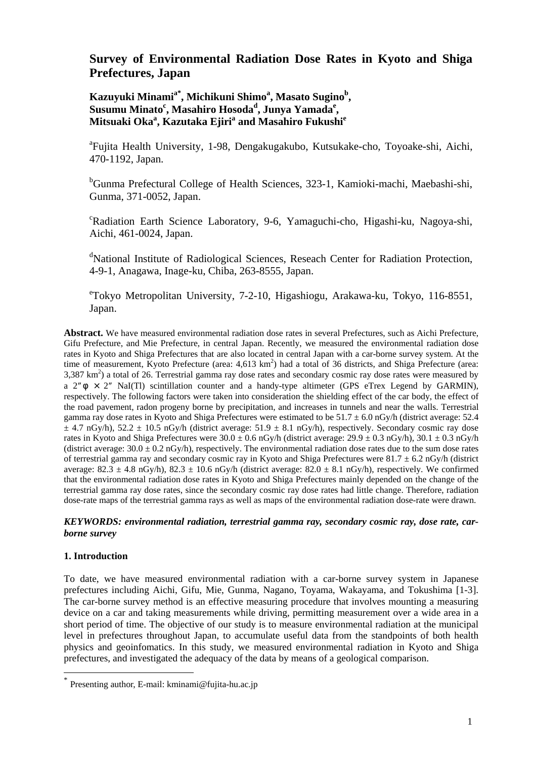# **Survey of Environmental Radiation Dose Rates in Kyoto and Shiga Prefectures, Japan**

 $K$ azuyuki Minami<sup>a\*</sup>, Michikuni Shimo<sup>a</sup>, Masato Sugino<sup>b</sup>, **Susumu Minato<sup>c</sup> , Masahiro Hosoda<sup>d</sup> , Junya Yamada<sup>e</sup> , Mitsuaki Oka<sup>a</sup> , Kazutaka Ejiri<sup>a</sup> and Masahiro Fukushi<sup>e</sup>**

<sup>a</sup>Fujita Health University, 1-98, Dengakugakubo, Kutsukake-cho, Toyoake-shi, Aichi, 470-1192, Japan.

<sup>b</sup>Gunma Prefectural College of Health Sciences, 323-1, Kamioki-machi, Maebashi-shi, Gunma, 371-0052, Japan.

c Radiation Earth Science Laboratory, 9-6, Yamaguchi-cho, Higashi-ku, Nagoya-shi, Aichi, 461-0024, Japan.

<sup>d</sup>National Institute of Radiological Sciences, Reseach Center for Radiation Protection, 4-9-1, Anagawa, Inage-ku, Chiba, 263-8555, Japan.

e Tokyo Metropolitan University, 7-2-10, Higashiogu, Arakawa-ku, Tokyo, 116-8551, Japan.

**Abstract.** We have measured environmental radiation dose rates in several Prefectures, such as Aichi Prefecture, Gifu Prefecture, and Mie Prefecture, in central Japan. Recently, we measured the environmental radiation dose rates in Kyoto and Shiga Prefectures that are also located in central Japan with a car-borne survey system. At the time of measurement, Kyoto Prefecture (area: 4,613 km<sup>2</sup>) had a total of 36 districts, and Shiga Prefecture (area:  $3,387 \text{ km}^2$ ) a total of 26. Terrestrial gamma ray dose rates and secondary cosmic ray dose rates were measured by a  $2'' \times 2''$  NaI(Tl) scintillation counter and a handy-type altimeter (GPS eTrex Legend by GARMIN), respectively. The following factors were taken into consideration the shielding effect of the car body, the effect of the road pavement, radon progeny borne by precipitation, and increases in tunnels and near the walls. Terrestrial gamma ray dose rates in Kyoto and Shiga Prefectures were estimated to be  $51.7 \pm 6.0$  nGy/h (district average: 52.4  $\pm$  4.7 nGy/h), 52.2  $\pm$  10.5 nGy/h (district average: 51.9  $\pm$  8.1 nGy/h), respectively. Secondary cosmic ray dose rates in Kyoto and Shiga Prefectures were  $30.0 \pm 0.6$  nGy/h (district average:  $29.9 \pm 0.3$  nGy/h),  $30.1 \pm 0.3$  nGy/h (district average:  $30.0 \pm 0.2$  nGy/h), respectively. The environmental radiation dose rates due to the sum dose rates of terrestrial gamma ray and secondary cosmic ray in Kyoto and Shiga Prefectures were  $81.7 \pm 6.2$  nGy/h (district average:  $82.3 \pm 4.8$  nGy/h),  $82.3 \pm 10.6$  nGy/h (district average:  $82.0 \pm 8.1$  nGy/h), respectively. We confirmed that the environmental radiation dose rates in Kyoto and Shiga Prefectures mainly depended on the change of the terrestrial gamma ray dose rates, since the secondary cosmic ray dose rates had little change. Therefore, radiation dose-rate maps of the terrestrial gamma rays as well as maps of the environmental radiation dose-rate were drawn.

## *KEYWORDS: environmental radiation, terrestrial gamma ray, secondary cosmic ray, dose rate, carborne survey*

# **1. Introduction**

 $\overline{a}$ 

To date, we have measured environmental radiation with a car-borne survey system in Japanese prefectures including Aichi, Gifu, Mie, Gunma, Nagano, Toyama, Wakayama, and Tokushima [1-3]. The car-borne survey method is an effective measuring procedure that involves mounting a measuring device on a car and taking measurements while driving, permitting measurement over a wide area in a short period of time. The objective of our study is to measure environmental radiation at the municipal level in prefectures throughout Japan, to accumulate useful data from the standpoints of both health physics and geoinfomatics. In this study, we measured environmental radiation in Kyoto and Shiga prefectures, and investigated the adequacy of the data by means of a geological comparison.

<span id="page-0-0"></span>Presenting author, E-mail: kminami@fujita-hu.ac.jp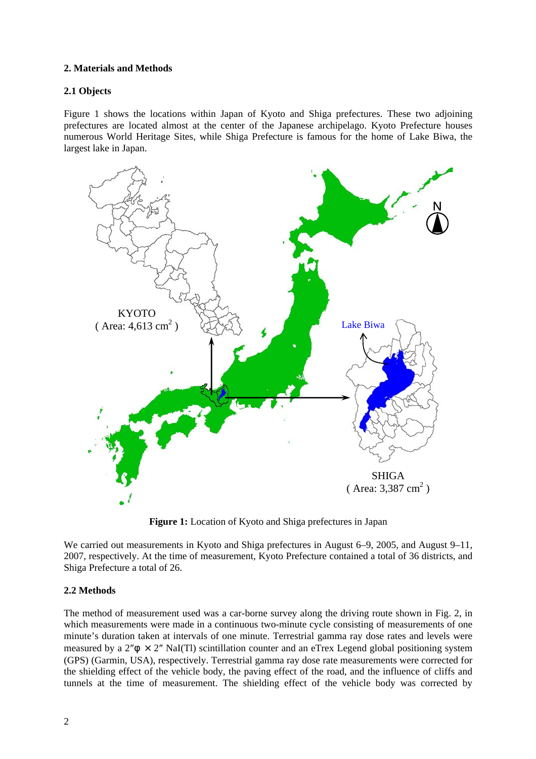## **2. Materials and Methods**

# **2.1 Objects**

Figure 1 shows the locations within Japan of Kyoto and Shiga prefectures. These two adjoining prefectures are located almost at the center of the Japanese archipelago. Kyoto Prefecture houses numerous World Heritage Sites, while Shiga Prefecture is famous for the home of Lake Biwa, the largest lake in Japan.



**Figure 1:** Location of Kyoto and Shiga prefectures in Japan

We carried out measurements in Kyoto and Shiga prefectures in August 6–9, 2005, and August 9–11, 2007, respectively. At the time of measurement, Kyoto Prefecture contained a total of 36 districts, and Shiga Prefecture a total of 26.

# **2.2 Methods**

The method of measurement used was a car-borne survey along the driving route shown in Fig. 2, in which measurements were made in a continuous two-minute cycle consisting of measurements of one minute's duration taken at intervals of one minute. Terrestrial gamma ray dose rates and levels were measured by a  $2'' \times 2''$  NaI(Tl) scintillation counter and an eTrex Legend global positioning system (GPS) (Garmin, USA), respectively. Terrestrial gamma ray dose rate measurements were corrected for the shielding effect of the vehicle body, the paving effect of the road, and the influence of cliffs and tunnels at the time of measurement. The shielding effect of the vehicle body was corrected by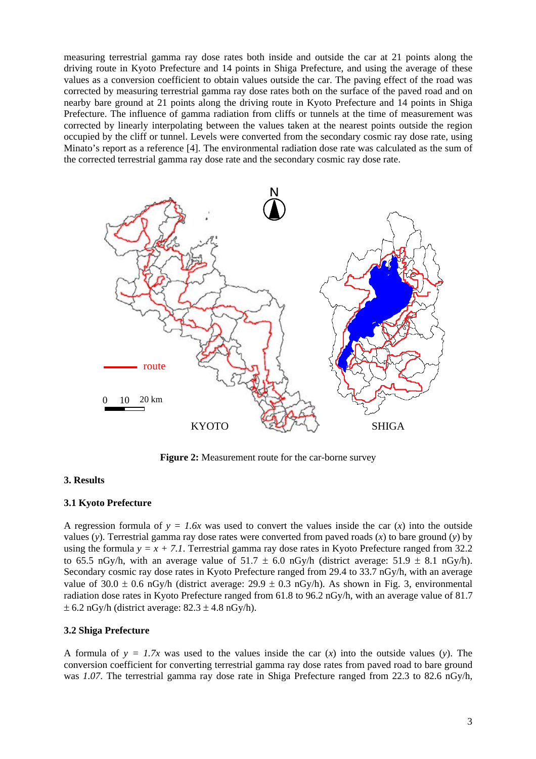measuring terrestrial gamma ray dose rates both inside and outside the car at 21 points along the driving route in Kyoto Prefecture and 14 points in Shiga Prefecture, and using the average of these values as a conversion coefficient to obtain values outside the car. The paving effect of the road was corrected by measuring terrestrial gamma ray dose rates both on the surface of the paved road and on nearby bare ground at 21 points along the driving route in Kyoto Prefecture and 14 points in Shiga Prefecture. The influence of gamma radiation from cliffs or tunnels at the time of measurement was corrected by linearly interpolating between the values taken at the nearest points outside the region occupied by the cliff or tunnel. Levels were converted from the secondary cosmic ray dose rate, using Minato's report as a reference [4]. The environmental radiation dose rate was calculated as the sum of the corrected terrestrial gamma ray dose rate and the secondary cosmic ray dose rate.



**Figure 2:** Measurement route for the car-borne survey

#### **3. Results**

#### **3.1 Kyoto Prefecture**

A regression formula of  $y = 1.6x$  was used to convert the values inside the car  $(x)$  into the outside values (*y*). Terrestrial gamma ray dose rates were converted from paved roads (*x*) to bare ground (*y*) by using the formula  $y = x + 7.1$ . Terrestrial gamma ray dose rates in Kyoto Prefecture ranged from 32.2 to 65.5 nGy/h, with an average value of  $51.7 \pm 6.0$  nGy/h (district average:  $51.9 \pm 8.1$  nGy/h). Secondary cosmic ray dose rates in Kyoto Prefecture ranged from 29.4 to 33.7 nGy/h, with an average value of 30.0  $\pm$  0.6 nGy/h (district average: 29.9  $\pm$  0.3 nGy/h). As shown in Fig. 3, environmental radiation dose rates in Kyoto Prefecture ranged from 61.8 to 96.2 nGy/h, with an average value of 81.7  $\pm$  6.2 nGy/h (district average: 82.3  $\pm$  4.8 nGy/h).

#### **3.2 Shiga Prefecture**

A formula of  $y = 1.7x$  was used to the values inside the car  $(x)$  into the outside values  $(y)$ . The conversion coefficient for converting terrestrial gamma ray dose rates from paved road to bare ground was *1.07*. The terrestrial gamma ray dose rate in Shiga Prefecture ranged from 22.3 to 82.6 nGy/h,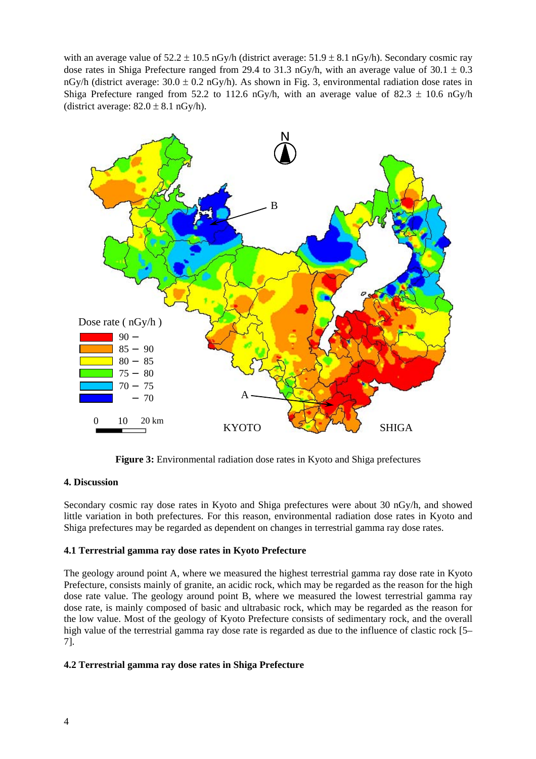with an average value of  $52.2 \pm 10.5$  nGy/h (district average:  $51.9 \pm 8.1$  nGy/h). Secondary cosmic ray dose rates in Shiga Prefecture ranged from 29.4 to 31.3 nGy/h, with an average value of  $30.1 \pm 0.3$ nGy/h (district average:  $30.0 \pm 0.2$  nGy/h). As shown in Fig. 3, environmental radiation dose rates in Shiga Prefecture ranged from 52.2 to 112.6 nGy/h, with an average value of 82.3  $\pm$  10.6 nGy/h (district average:  $82.0 \pm 8.1$  nGy/h).



**Figure 3:** Environmental radiation dose rates in Kyoto and Shiga prefectures

#### **4. Discussion**

Secondary cosmic ray dose rates in Kyoto and Shiga prefectures were about 30 nGy/h, and showed little variation in both prefectures. For this reason, environmental radiation dose rates in Kyoto and Shiga prefectures may be regarded as dependent on changes in terrestrial gamma ray dose rates.

# **4.1 Terrestrial gamma ray dose rates in Kyoto Prefecture**

The geology around point A, where we measured the highest terrestrial gamma ray dose rate in Kyoto Prefecture, consists mainly of granite, an acidic rock, which may be regarded as the reason for the high dose rate value. The geology around point B, where we measured the lowest terrestrial gamma ray dose rate, is mainly composed of basic and ultrabasic rock, which may be regarded as the reason for the low value. Most of the geology of Kyoto Prefecture consists of sedimentary rock, and the overall high value of the terrestrial gamma ray dose rate is regarded as due to the influence of clastic rock [5– 7].

# **4.2 Terrestrial gamma ray dose rates in Shiga Prefecture**